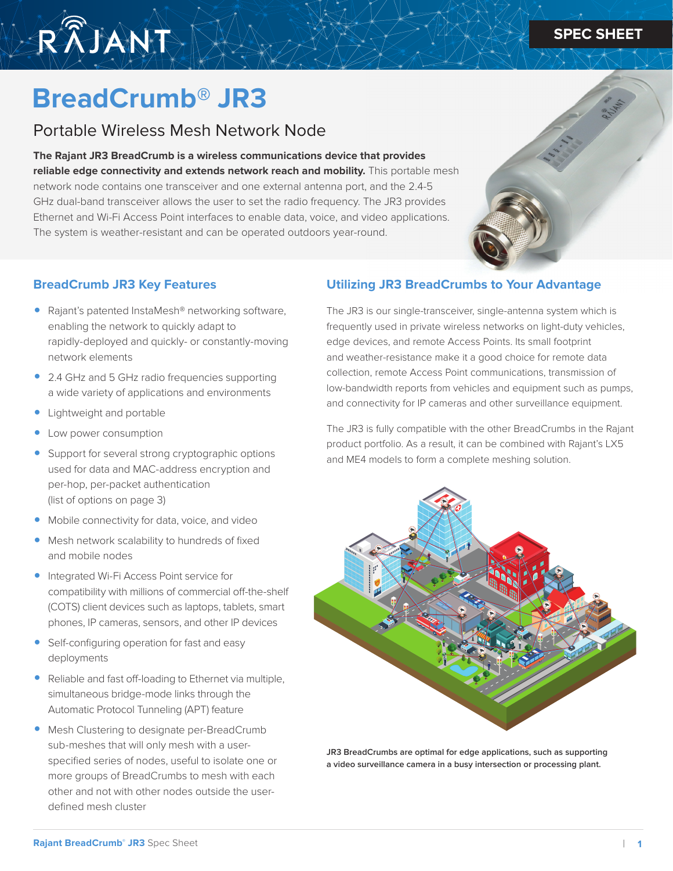## **SPEC SHEET SPEC SHEET**



# **BreadCrumb® JR3**

# Portable Wireless Mesh Network Node

**The Rajant JR3 BreadCrumb is a wireless communications device that provides reliable edge connectivity and extends network reach and mobility.** This portable mesh network node contains one transceiver and one external antenna port, and the 2.4-5 GHz dual-band transceiver allows the user to set the radio frequency. The JR3 provides Ethernet and Wi-Fi Access Point interfaces to enable data, voice, and video applications. The system is weather-resistant and can be operated outdoors year-round.

#### **BreadCrumb JR3 Key Features**

- Rajant's patented InstaMesh® networking software, enabling the network to quickly adapt to rapidly-deployed and quickly- or constantly-moving network elements
- 2.4 GHz and 5 GHz radio frequencies supporting a wide variety of applications and environments
- Lightweight and portable
- Low power consumption
- Support for several strong cryptographic options used for data and MAC-address encryption and per-hop, per-packet authentication (list of options on page 3)
- Mobile connectivity for data, voice, and video
- Mesh network scalability to hundreds of fixed and mobile nodes
- Integrated Wi-Fi Access Point service for compatibility with millions of commercial off-the-shelf (COTS) client devices such as laptops, tablets, smart phones, IP cameras, sensors, and other IP devices
- Self-configuring operation for fast and easy deployments
- Reliable and fast off-loading to Ethernet via multiple, simultaneous bridge-mode links through the Automatic Protocol Tunneling (APT) feature
- Mesh Clustering to designate per-BreadCrumb sub-meshes that will only mesh with a userspecified series of nodes, useful to isolate one or more groups of BreadCrumbs to mesh with each other and not with other nodes outside the userdefined mesh cluster

#### **Utilizing JR3 BreadCrumbs to Your Advantage**

The JR3 is our single-transceiver, single-antenna system which is frequently used in private wireless networks on light-duty vehicles, edge devices, and remote Access Points. Its small footprint and weather-resistance make it a good choice for remote data collection, remote Access Point communications, transmission of low-bandwidth reports from vehicles and equipment such as pumps, and connectivity for IP cameras and other surveillance equipment.

The JR3 is fully compatible with the other BreadCrumbs in the Rajant product portfolio. As a result, it can be combined with Rajant's LX5 and ME4 models to form a complete meshing solution.



**JR3 BreadCrumbs are optimal for edge applications, such as supporting a video surveillance camera in a busy intersection or processing plant.**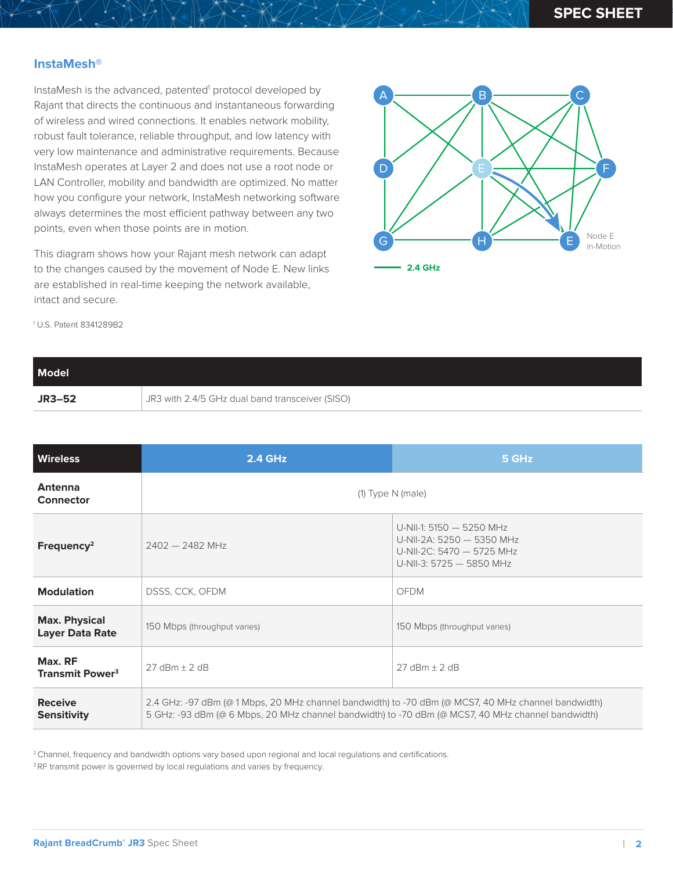#### **InstaMesh®**

InstaMesh is the advanced, patented<sup>1</sup> protocol developed by Rajant that directs the continuous and instantaneous forwarding of wireless and wired connections. It enables network mobility, robust fault tolerance, reliable throughput, and low latency with very low maintenance and administrative requirements. Because InstaMesh operates at Layer 2 and does not use a root node or LAN Controller, mobility and bandwidth are optimized. No matter how you configure your network, InstaMesh networking software always determines the most efficient pathway between any two points, even when those points are in motion.

This diagram shows how your Rajant mesh network can adapt to the changes caused by the movement of Node E. New links are established in real-time keeping the network available, intact and secure.



1 U.S. Patent 8341289B2

| <b>Model</b>  |                                                 |
|---------------|-------------------------------------------------|
| <b>JR3-52</b> | JR3 with 2.4/5 GHz dual band transceiver (SISO) |

| <b>Wireless</b>                                | <b>2.4 GHz</b>                                                                                                                                                                                           | 5 GHz                                                                                                          |
|------------------------------------------------|----------------------------------------------------------------------------------------------------------------------------------------------------------------------------------------------------------|----------------------------------------------------------------------------------------------------------------|
| Antenna<br>Connector                           | $(1)$ Type N (male)                                                                                                                                                                                      |                                                                                                                |
| Frequency <sup>2</sup>                         | $2402 - 2482$ MHz                                                                                                                                                                                        | U-NII-1: 5150 - 5250 MHz<br>U-NII-2A: 5250 - 5350 MHz<br>U-NII-2C: 5470 - 5725 MHz<br>U-NII-3: 5725 - 5850 MHz |
| <b>Modulation</b>                              | DSSS, CCK, OFDM                                                                                                                                                                                          | <b>OFDM</b>                                                                                                    |
| <b>Max. Physical</b><br><b>Layer Data Rate</b> | 150 Mbps (throughput varies)                                                                                                                                                                             | 150 Mbps (throughput varies)                                                                                   |
| Max. RF<br><b>Transmit Power<sup>3</sup></b>   | $27$ dBm $\pm$ 2 dB                                                                                                                                                                                      | $27$ dBm + 2 dB                                                                                                |
| <b>Receive</b><br><b>Sensitivity</b>           | 2.4 GHz: -97 dBm (@ 1 Mbps, 20 MHz channel bandwidth) to -70 dBm (@ MCS7, 40 MHz channel bandwidth)<br>5 GHz: -93 dBm (@ 6 Mbps, 20 MHz channel bandwidth) to -70 dBm (@ MCS7, 40 MHz channel bandwidth) |                                                                                                                |

<sup>2</sup> Channel, frequency and bandwidth options vary based upon regional and local regulations and certifications.

<sup>3</sup> RF transmit power is governed by local regulations and varies by frequency.